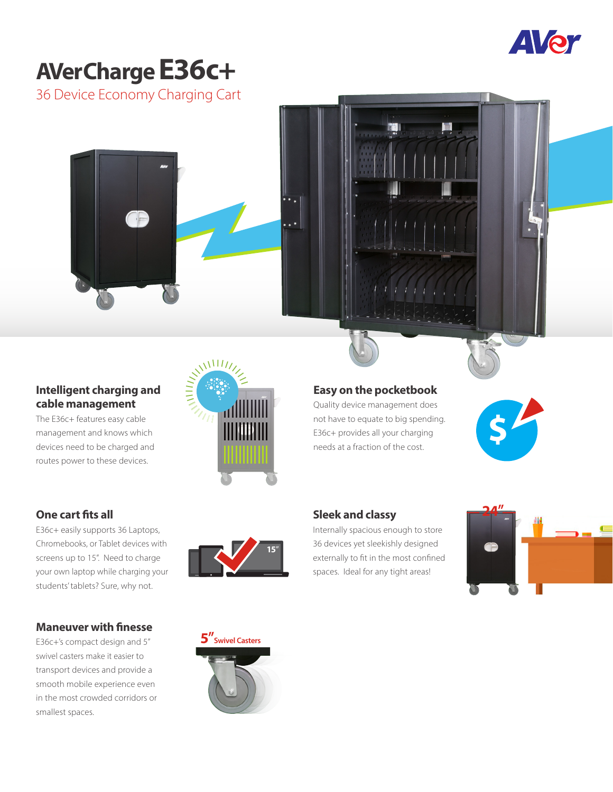

# **AVerCharge E36c+**

36 Device Economy Charging Cart

# **Intelligent charging and cable management**

The E36c+ features easy cable management and knows which devices need to be charged and routes power to these devices.

### **One cart fits all**

E36c+ easily supports 36 Laptops, Chromebooks, or Tablet devices with screens up to 15". Need to charge your own laptop while charging your students' tablets? Sure, why not.

### **Maneuver with finesse**

E36c+'s compact design and 5" swivel casters make it easier to transport devices and provide a smooth mobile experience even in the most crowded corridors or smallest spaces.





Quality device management does not have to equate to big spending. E36c+ provides all your charging needs at a fraction of the cost.

**\$**

#### **Sleek and classy** Internally spacious enough to store

36 devices yet sleekishly designed externally to fit in the most confined spaces. Ideal for any tight areas!





**15**"